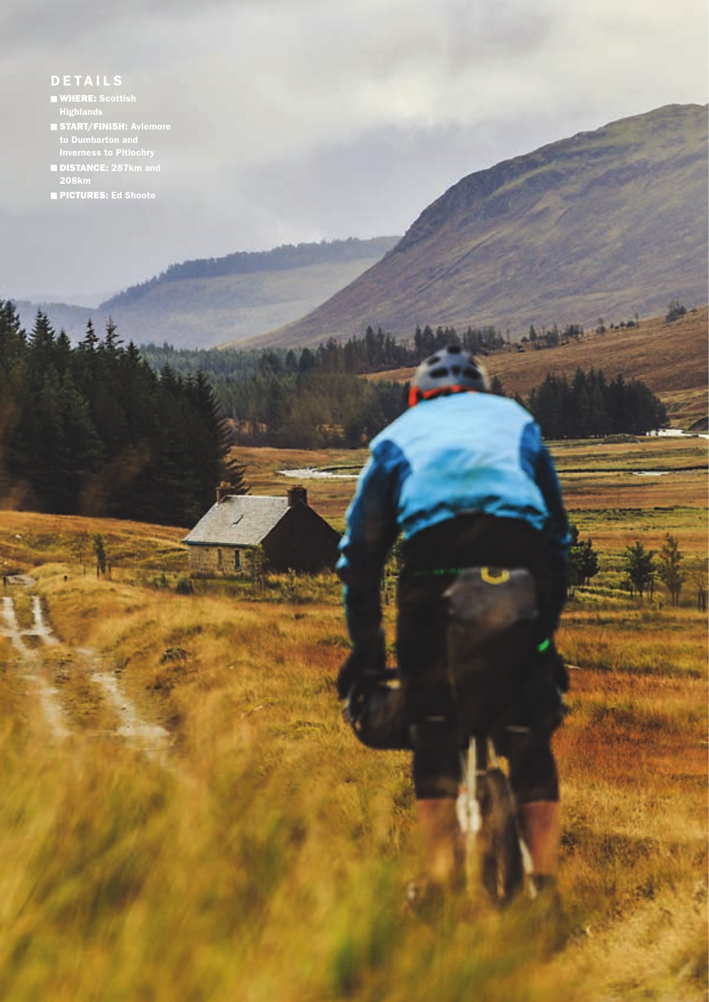# **DETAILS**

- WHERE: Scottish Highlands
- 
- DISTANCE: 287km and 208km

π

 $1 - 1 - 1$ 

PICTURES: Ed Shoote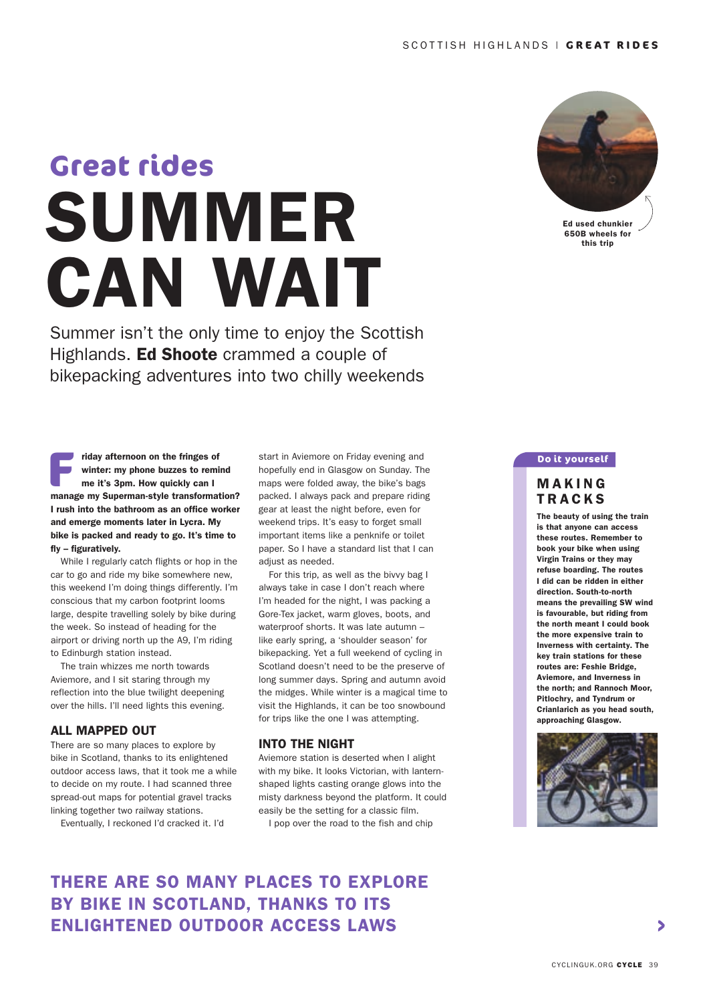# SUMMER CAN WAIT **Great rides**

Summer isn't the only time to enjoy the Scottish Highlands. Ed Shoote crammed a couple of bikepacking adventures into two chilly weekends



Ed used chunkier 650B wheels for this trip

#### **Fiday afternoon on the fringes of winter: my phone buzzes to remind me it's 3pm. How quickly can I manage my Superman-style transformation?** riday afternoon on the fringes of winter: my phone buzzes to remind me it's 3pm. How quickly can I I rush into the bathroom as an office worker and emerge moments later in Lycra. My bike is packed and ready to go. It's time to fly – figuratively.

 While I regularly catch flights or hop in the car to go and ride my bike somewhere new, this weekend I'm doing things differently. I'm conscious that my carbon footprint looms large, despite travelling solely by bike during the week. So instead of heading for the airport or driving north up the A9, I'm riding to Edinburgh station instead.

 The train whizzes me north towards Aviemore, and I sit staring through my reflection into the blue twilight deepening over the hills. I'll need lights this evening.

## ALL MAPPED OUT

There are so many places to explore by bike in Scotland, thanks to its enlightened outdoor access laws, that it took me a while to decide on my route. I had scanned three spread-out maps for potential gravel tracks linking together two railway stations.

Eventually, I reckoned I'd cracked it. I'd

start in Aviemore on Friday evening and hopefully end in Glasgow on Sunday. The maps were folded away, the bike's bags packed. I always pack and prepare riding gear at least the night before, even for weekend trips. It's easy to forget small important items like a penknife or toilet paper. So I have a standard list that I can adjust as needed.

 For this trip, as well as the bivvy bag I always take in case I don't reach where I'm headed for the night, I was packing a Gore-Tex jacket, warm gloves, boots, and waterproof shorts. It was late autumn – like early spring, a 'shoulder season' for bikepacking. Yet a full weekend of cycling in Scotland doesn't need to be the preserve of long summer days. Spring and autumn avoid the midges. While winter is a magical time to visit the Highlands, it can be too snowbound for trips like the one I was attempting.

#### INTO THE NIGHT

Aviemore station is deserted when I alight with my bike. It looks Victorian, with lanternshaped lights casting orange glows into the misty darkness beyond the platform. It could easily be the setting for a classic film.

I pop over the road to the fish and chip

# THERE ARE SO MANY PLACES TO EXPLORE BY BIKE IN SCOTLAND, THANKS TO ITS ENLIGHTENED OUTDOOR ACCESS LAWS

#### **Do it yourself**

## **MAKING TRACKS**

The beauty of using the train is that anyone can access these routes. Remember to book your bike when using Virgin Trains or they may refuse boarding. The routes I did can be ridden in either direction. South-to-north means the prevailing SW wind is favourable, but riding from the north meant I could book the more expensive train to Inverness with certainty. The key train stations for these routes are: Feshie Bridge, Aviemore, and Inverness in the north; and Rannoch Moor, Pitlochry, and Tyndrum or Crianlarich as you head south, approaching Glasgow.



 $\blacktriangleright$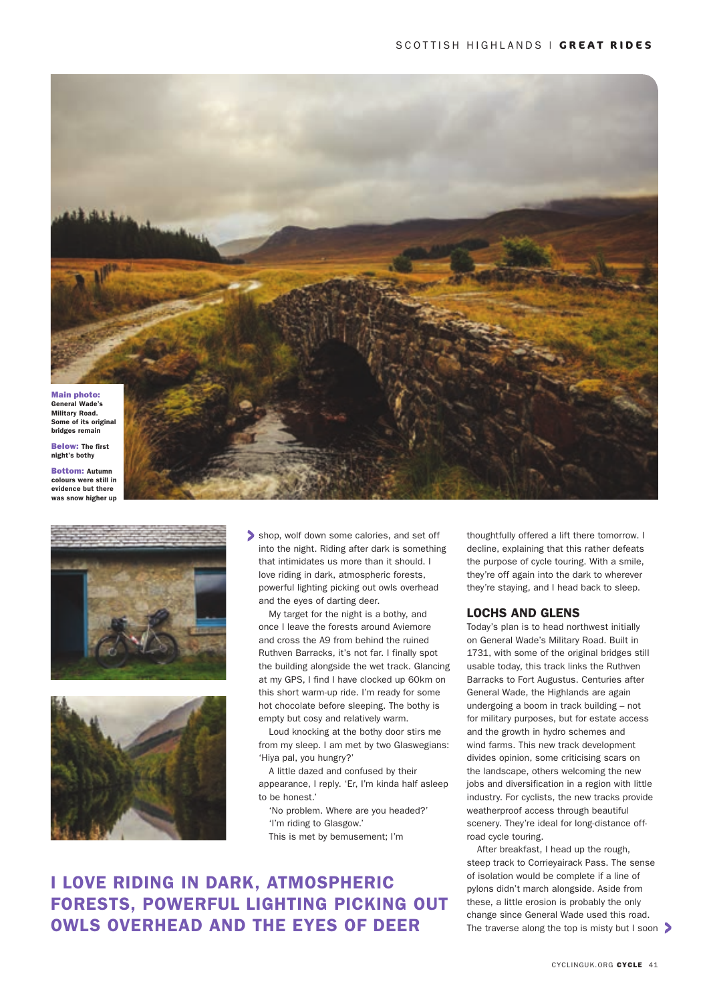







shop, wolf down some calories, and set off into the night. Riding after dark is something that intimidates us more than it should. I love riding in dark, atmospheric forests, powerful lighting picking out owls overhead and the eyes of darting deer.

My target for the night is a bothy, and once I leave the forests around Aviemore and cross the A9 from behind the ruined Ruthven Barracks, it's not far. I finally spot the building alongside the wet track. Glancing at my GPS, I find I have clocked up 60km on this short warm-up ride. I'm ready for some hot chocolate before sleeping. The bothy is empty but cosy and relatively warm.

Loud knocking at the bothy door stirs me from my sleep. I am met by two Glaswegians: 'Hiya pal, you hungry?'

A little dazed and confused by their appearance, I reply. 'Er, I'm kinda half asleep to be honest.'

'No problem. Where are you headed?' 'I'm riding to Glasgow.'

This is met by bemusement; I'm

# I LOVE RIDING IN DARK, ATMOSPHERIC FORESTS, POWERFUL LIGHTING PICKING OUT OWLS OVERHEAD AND THE EYES OF DEER

thoughtfully offered a lift there tomorrow. I decline, explaining that this rather defeats the purpose of cycle touring. With a smile, they're off again into the dark to wherever they're staying, and I head back to sleep.

## LOCHS AND GLENS

Today's plan is to head northwest initially on General Wade's Military Road. Built in 1731, with some of the original bridges still usable today, this track links the Ruthven Barracks to Fort Augustus. Centuries after General Wade, the Highlands are again undergoing a boom in track building – not for military purposes, but for estate access and the growth in hydro schemes and wind farms. This new track development divides opinion, some criticising scars on the landscape, others welcoming the new jobs and diversification in a region with little industry. For cyclists, the new tracks provide weatherproof access through beautiful scenery. They're ideal for long-distance offroad cycle touring.

After breakfast, I head up the rough, steep track to Corrieyairack Pass. The sense of isolation would be complete if a line of pylons didn't march alongside. Aside from these, a little erosion is probably the only change since General Wade used this road. The traverse along the top is misty but I soon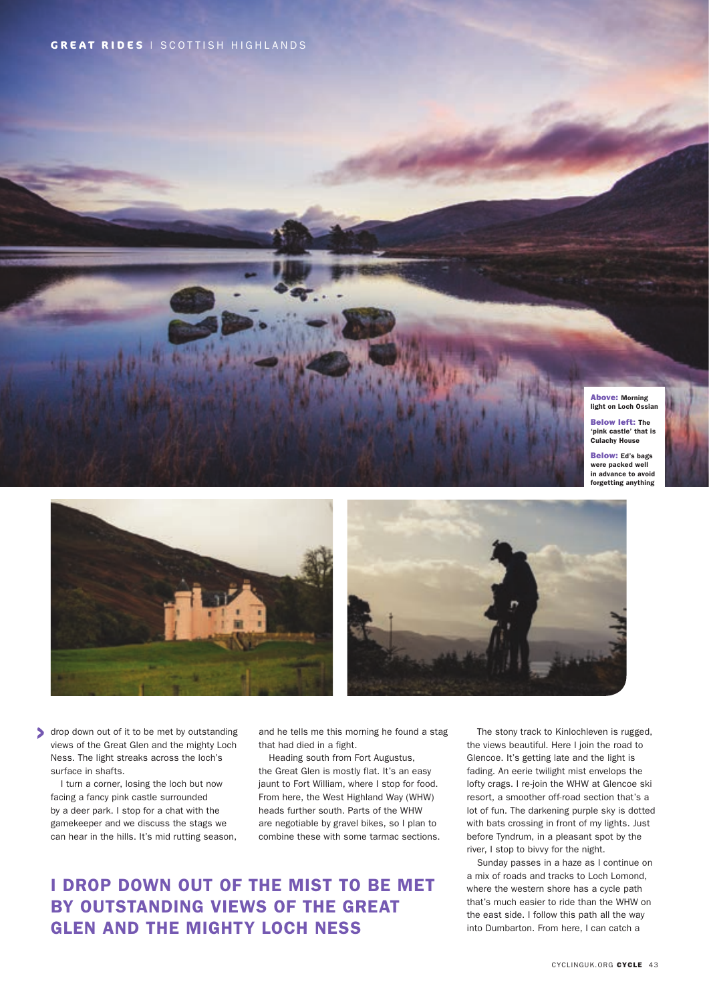

Below: Ed's bags were packed well in advance to avoid forgetting anything





drop down out of it to be met by outstanding views of the Great Glen and the mighty Loch Ness. The light streaks across the loch's surface in shafts.

I turn a corner, losing the loch but now facing a fancy pink castle surrounded by a deer park. I stop for a chat with the gamekeeper and we discuss the stags we can hear in the hills. It's mid rutting season, and he tells me this morning he found a stag that had died in a fight.

This route runs for the contract of ULLA SCULP Below right: Bridges over the River Tweed in Scotland

Heading south from Fort Augustus, the Great Glen is mostly flat. It's an easy jaunt to Fort William, where I stop for food. From here, the West Highland Way (WHW) heads further south. Parts of the WHW are negotiable by gravel bikes, so I plan to combine these with some tarmac sections.

# I DROP DOWN OUT OF THE MIST TO BE MET BY OUTSTANDING VIEWS OF THE GREAT GLEN AND THE MIGHTY LOCH NESS

The stony track to Kinlochleven is rugged, the views beautiful. Here I join the road to Glencoe. It's getting late and the light is fading. An eerie twilight mist envelops the lofty crags. I re-join the WHW at Glencoe ski resort, a smoother off-road section that's a lot of fun. The darkening purple sky is dotted with bats crossing in front of my lights. Just before Tyndrum, in a pleasant spot by the river, I stop to bivvy for the night.

Sunday passes in a haze as I continue on a mix of roads and tracks to Loch Lomond, where the western shore has a cycle path that's much easier to ride than the WHW on the east side. I follow this path all the way into Dumbarton. From here, I can catch a